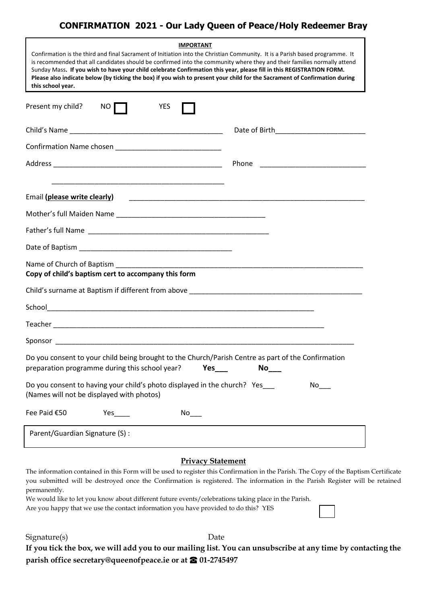## **CONFIRMATION 2021 - Our Lady Queen of Peace/Holy Redeemer Bray**

| <b>IMPORTANT</b><br>Confirmation is the third and final Sacrament of Initiation into the Christian Community. It is a Parish based programme. It<br>is recommended that all candidates should be confirmed into the community where they and their families normally attend<br>Sunday Mass. If you wish to have your child celebrate Confirmation this year, please fill in this REGISTRATION FORM.<br>Please also indicate below (by ticking the box) if you wish to present your child for the Sacrament of Confirmation during<br>this school year. |           |
|--------------------------------------------------------------------------------------------------------------------------------------------------------------------------------------------------------------------------------------------------------------------------------------------------------------------------------------------------------------------------------------------------------------------------------------------------------------------------------------------------------------------------------------------------------|-----------|
|                                                                                                                                                                                                                                                                                                                                                                                                                                                                                                                                                        |           |
|                                                                                                                                                                                                                                                                                                                                                                                                                                                                                                                                                        |           |
|                                                                                                                                                                                                                                                                                                                                                                                                                                                                                                                                                        |           |
|                                                                                                                                                                                                                                                                                                                                                                                                                                                                                                                                                        |           |
|                                                                                                                                                                                                                                                                                                                                                                                                                                                                                                                                                        |           |
| Email (please write clearly)                                                                                                                                                                                                                                                                                                                                                                                                                                                                                                                           |           |
|                                                                                                                                                                                                                                                                                                                                                                                                                                                                                                                                                        |           |
|                                                                                                                                                                                                                                                                                                                                                                                                                                                                                                                                                        |           |
|                                                                                                                                                                                                                                                                                                                                                                                                                                                                                                                                                        |           |
| Name of Church of Baptism<br>Copy of child's baptism cert to accompany this form                                                                                                                                                                                                                                                                                                                                                                                                                                                                       |           |
| Child's surname at Baptism if different from above example and the surface of the set of the set of the set of                                                                                                                                                                                                                                                                                                                                                                                                                                         |           |
|                                                                                                                                                                                                                                                                                                                                                                                                                                                                                                                                                        |           |
| $\begin{minipage}[c]{0.9\linewidth} \textbf{Teacher} \end{minipage}[c]{\label{eq:1} \begin{minipage}[c]{0.9\linewidth} \textbf{Teacher} \end{minipage}[c]{\label{eq:1} \begin{minipage}[c]{0.9\linewidth} \textbf{Teacher} \end{minipage}[c]{\label{eq:1} \begin{minipage}[c]{0.9\linewidth} \textbf{Teacher} \end{minipage}[c]{\label{eq:1} \begin{minipage}[c]{0.9\linewidth} \textbf{Teacher} \end{minipage}[c]{\label{eq:1} \begin{minipage}[c]{0.9\linewidth} \textbf{Teacher} \end{minipage}[c]{\label{eq:$                                      |           |
|                                                                                                                                                                                                                                                                                                                                                                                                                                                                                                                                                        |           |
| Do you consent to your child being brought to the Church/Parish Centre as part of the Confirmation<br>preparation programme during this school year?<br>Yes                                                                                                                                                                                                                                                                                                                                                                                            | <b>No</b> |
| Do you consent to having your child's photo displayed in the church? Yes<br>(Names will not be displayed with photos)                                                                                                                                                                                                                                                                                                                                                                                                                                  | No l      |
| Fee Paid €50<br>No                                                                                                                                                                                                                                                                                                                                                                                                                                                                                                                                     |           |
| Parent/Guardian Signature (S) :                                                                                                                                                                                                                                                                                                                                                                                                                                                                                                                        |           |

## **Privacy Statement**

The information contained in this Form will be used to register this Confirmation in the Parish. The Copy of the Baptism Certificate you submitted will be destroyed once the Confirmation is registered. The information in the Parish Register will be retained permanently.

We would like to let you know about different future events/celebrations taking place in the Parish. Are you happy that we use the contact information you have provided to do this? YES

Signature(s) Date

**If you tick the box, we will add you to our mailing list. You can unsubscribe at any time by contacting the parish office secretary@queenofpeace.ie or at <sup>☎</sup> 01-2745497**